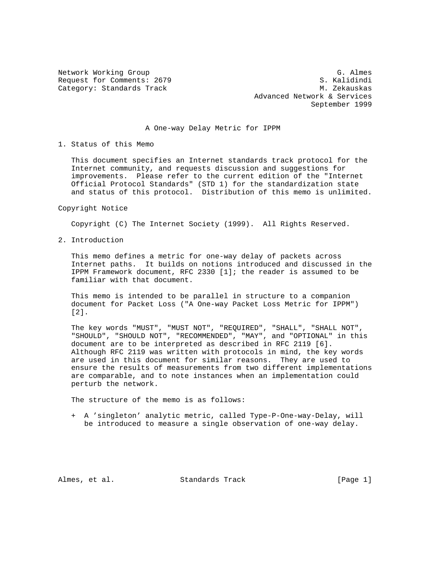Request for Comments: 2679

Network Working Group G. Almes<br>Request for Comments: 2679 (S. Kalidindi Category: Standards Track M. Zekauskas Advanced Network & Services September 1999

## A One-way Delay Metric for IPPM

1. Status of this Memo

 This document specifies an Internet standards track protocol for the Internet community, and requests discussion and suggestions for improvements. Please refer to the current edition of the "Internet Official Protocol Standards" (STD 1) for the standardization state and status of this protocol. Distribution of this memo is unlimited.

Copyright Notice

Copyright (C) The Internet Society (1999). All Rights Reserved.

2. Introduction

 This memo defines a metric for one-way delay of packets across Internet paths. It builds on notions introduced and discussed in the IPPM Framework document, RFC 2330 [1]; the reader is assumed to be familiar with that document.

 This memo is intended to be parallel in structure to a companion document for Packet Loss ("A One-way Packet Loss Metric for IPPM") [2].

 The key words "MUST", "MUST NOT", "REQUIRED", "SHALL", "SHALL NOT", "SHOULD", "SHOULD NOT", "RECOMMENDED", "MAY", and "OPTIONAL" in this document are to be interpreted as described in RFC 2119 [6]. Although RFC 2119 was written with protocols in mind, the key words are used in this document for similar reasons. They are used to ensure the results of measurements from two different implementations are comparable, and to note instances when an implementation could perturb the network.

The structure of the memo is as follows:

 + A 'singleton' analytic metric, called Type-P-One-way-Delay, will be introduced to measure a single observation of one-way delay.

Almes, et al. Standards Track [Page 1]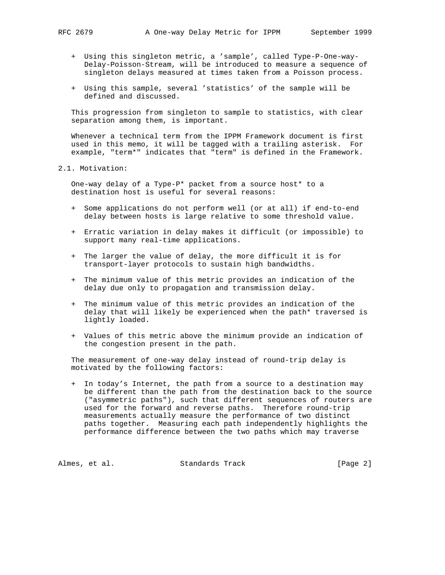- + Using this singleton metric, a 'sample', called Type-P-One-way- Delay-Poisson-Stream, will be introduced to measure a sequence of singleton delays measured at times taken from a Poisson process.
- + Using this sample, several 'statistics' of the sample will be defined and discussed.

 This progression from singleton to sample to statistics, with clear separation among them, is important.

 Whenever a technical term from the IPPM Framework document is first used in this memo, it will be tagged with a trailing asterisk. For example, "term\*" indicates that "term" is defined in the Framework.

2.1. Motivation:

 One-way delay of a Type-P\* packet from a source host\* to a destination host is useful for several reasons:

- + Some applications do not perform well (or at all) if end-to-end delay between hosts is large relative to some threshold value.
- + Erratic variation in delay makes it difficult (or impossible) to support many real-time applications.
- + The larger the value of delay, the more difficult it is for transport-layer protocols to sustain high bandwidths.
- + The minimum value of this metric provides an indication of the delay due only to propagation and transmission delay.
- + The minimum value of this metric provides an indication of the delay that will likely be experienced when the path\* traversed is lightly loaded.
- + Values of this metric above the minimum provide an indication of the congestion present in the path.

 The measurement of one-way delay instead of round-trip delay is motivated by the following factors:

 + In today's Internet, the path from a source to a destination may be different than the path from the destination back to the source ("asymmetric paths"), such that different sequences of routers are used for the forward and reverse paths. Therefore round-trip measurements actually measure the performance of two distinct paths together. Measuring each path independently highlights the performance difference between the two paths which may traverse

Almes, et al. Standards Track [Page 2]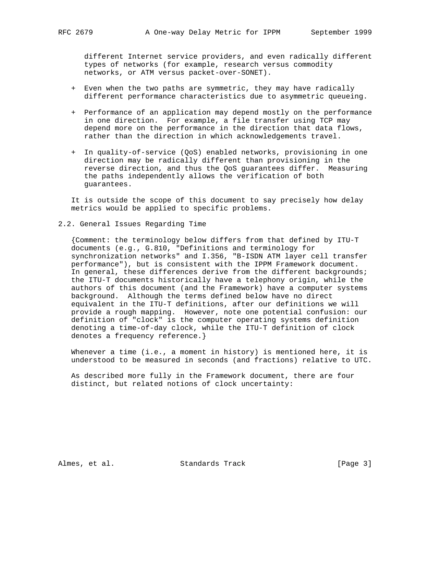different Internet service providers, and even radically different types of networks (for example, research versus commodity networks, or ATM versus packet-over-SONET).

- + Even when the two paths are symmetric, they may have radically different performance characteristics due to asymmetric queueing.
- + Performance of an application may depend mostly on the performance in one direction. For example, a file transfer using TCP may depend more on the performance in the direction that data flows, rather than the direction in which acknowledgements travel.
- + In quality-of-service (QoS) enabled networks, provisioning in one direction may be radically different than provisioning in the reverse direction, and thus the QoS guarantees differ. Measuring the paths independently allows the verification of both guarantees.

 It is outside the scope of this document to say precisely how delay metrics would be applied to specific problems.

2.2. General Issues Regarding Time

 {Comment: the terminology below differs from that defined by ITU-T documents (e.g., G.810, "Definitions and terminology for synchronization networks" and I.356, "B-ISDN ATM layer cell transfer performance"), but is consistent with the IPPM Framework document. In general, these differences derive from the different backgrounds; the ITU-T documents historically have a telephony origin, while the authors of this document (and the Framework) have a computer systems background. Although the terms defined below have no direct equivalent in the ITU-T definitions, after our definitions we will provide a rough mapping. However, note one potential confusion: our definition of "clock" is the computer operating systems definition denoting a time-of-day clock, while the ITU-T definition of clock denotes a frequency reference.}

 Whenever a time (i.e., a moment in history) is mentioned here, it is understood to be measured in seconds (and fractions) relative to UTC.

 As described more fully in the Framework document, there are four distinct, but related notions of clock uncertainty:

Almes, et al. Standards Track [Page 3]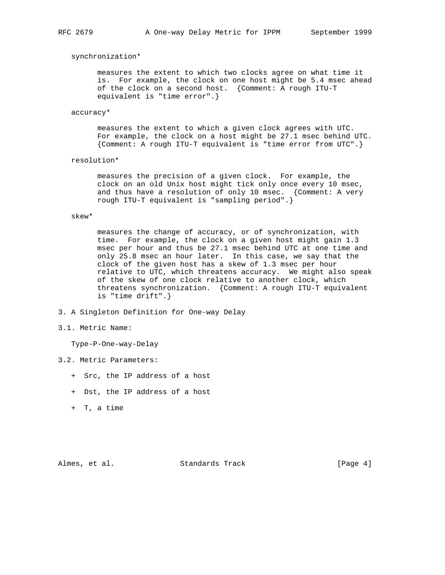### synchronization\*

 measures the extent to which two clocks agree on what time it is. For example, the clock on one host might be 5.4 msec ahead of the clock on a second host. {Comment: A rough ITU-T equivalent is "time error".}

### accuracy\*

 measures the extent to which a given clock agrees with UTC. For example, the clock on a host might be 27.1 msec behind UTC. {Comment: A rough ITU-T equivalent is "time error from UTC".}

### resolution\*

 measures the precision of a given clock. For example, the clock on an old Unix host might tick only once every 10 msec, and thus have a resolution of only 10 msec. {Comment: A very rough ITU-T equivalent is "sampling period".}

### skew\*

 measures the change of accuracy, or of synchronization, with time. For example, the clock on a given host might gain 1.3 msec per hour and thus be 27.1 msec behind UTC at one time and only 25.8 msec an hour later. In this case, we say that the clock of the given host has a skew of 1.3 msec per hour relative to UTC, which threatens accuracy. We might also speak of the skew of one clock relative to another clock, which threatens synchronization. {Comment: A rough ITU-T equivalent is "time drift".}

- 3. A Singleton Definition for One-way Delay
- 3.1. Metric Name:

Type-P-One-way-Delay

- 3.2. Metric Parameters:
	- + Src, the IP address of a host
	- + Dst, the IP address of a host
	- + T, a time

Almes, et al. Standards Track [Page 4]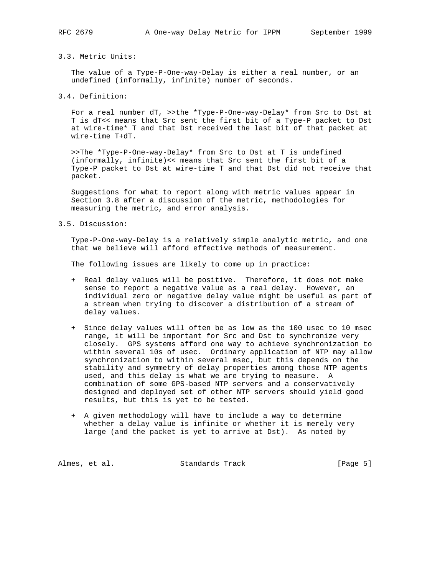# 3.3. Metric Units:

 The value of a Type-P-One-way-Delay is either a real number, or an undefined (informally, infinite) number of seconds.

3.4. Definition:

 For a real number dT, >>the \*Type-P-One-way-Delay\* from Src to Dst at T is dT<< means that Src sent the first bit of a Type-P packet to Dst at wire-time\* T and that Dst received the last bit of that packet at wire-time T+dT.

 >>The \*Type-P-One-way-Delay\* from Src to Dst at T is undefined (informally, infinite)<< means that Src sent the first bit of a Type-P packet to Dst at wire-time T and that Dst did not receive that packet.

 Suggestions for what to report along with metric values appear in Section 3.8 after a discussion of the metric, methodologies for measuring the metric, and error analysis.

3.5. Discussion:

 Type-P-One-way-Delay is a relatively simple analytic metric, and one that we believe will afford effective methods of measurement.

The following issues are likely to come up in practice:

- + Real delay values will be positive. Therefore, it does not make sense to report a negative value as a real delay. However, an individual zero or negative delay value might be useful as part of a stream when trying to discover a distribution of a stream of delay values.
- + Since delay values will often be as low as the 100 usec to 10 msec range, it will be important for Src and Dst to synchronize very closely. GPS systems afford one way to achieve synchronization to within several 10s of usec. Ordinary application of NTP may allow synchronization to within several msec, but this depends on the stability and symmetry of delay properties among those NTP agents used, and this delay is what we are trying to measure. A combination of some GPS-based NTP servers and a conservatively designed and deployed set of other NTP servers should yield good results, but this is yet to be tested.
- + A given methodology will have to include a way to determine whether a delay value is infinite or whether it is merely very large (and the packet is yet to arrive at Dst). As noted by

Almes, et al. Standards Track [Page 5]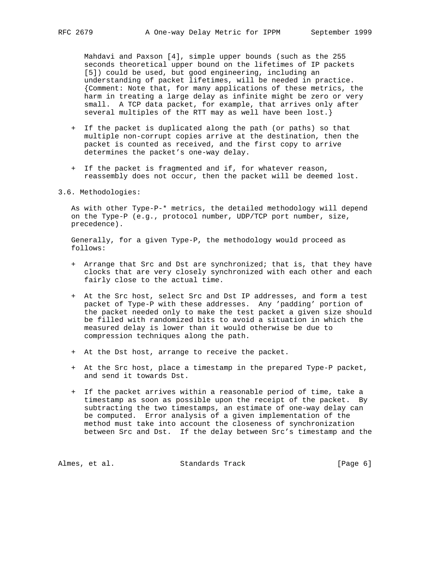Mahdavi and Paxson [4], simple upper bounds (such as the 255 seconds theoretical upper bound on the lifetimes of IP packets [5]) could be used, but good engineering, including an understanding of packet lifetimes, will be needed in practice. {Comment: Note that, for many applications of these metrics, the harm in treating a large delay as infinite might be zero or very small. A TCP data packet, for example, that arrives only after several multiples of the RTT may as well have been lost.}

- + If the packet is duplicated along the path (or paths) so that multiple non-corrupt copies arrive at the destination, then the packet is counted as received, and the first copy to arrive determines the packet's one-way delay.
- + If the packet is fragmented and if, for whatever reason, reassembly does not occur, then the packet will be deemed lost.
- 3.6. Methodologies:

 As with other Type-P-\* metrics, the detailed methodology will depend on the Type-P (e.g., protocol number, UDP/TCP port number, size, precedence).

 Generally, for a given Type-P, the methodology would proceed as follows:

- + Arrange that Src and Dst are synchronized; that is, that they have clocks that are very closely synchronized with each other and each fairly close to the actual time.
- + At the Src host, select Src and Dst IP addresses, and form a test packet of Type-P with these addresses. Any 'padding' portion of the packet needed only to make the test packet a given size should be filled with randomized bits to avoid a situation in which the measured delay is lower than it would otherwise be due to compression techniques along the path.
- + At the Dst host, arrange to receive the packet.
- + At the Src host, place a timestamp in the prepared Type-P packet, and send it towards Dst.
- + If the packet arrives within a reasonable period of time, take a timestamp as soon as possible upon the receipt of the packet. By subtracting the two timestamps, an estimate of one-way delay can be computed. Error analysis of a given implementation of the method must take into account the closeness of synchronization between Src and Dst. If the delay between Src's timestamp and the

Almes, et al. Standards Track [Page 6]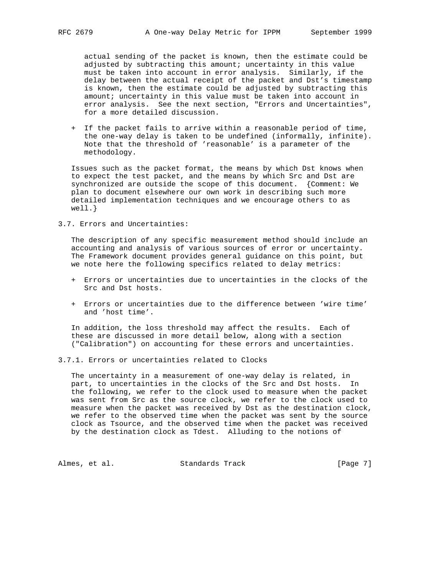actual sending of the packet is known, then the estimate could be adjusted by subtracting this amount; uncertainty in this value must be taken into account in error analysis. Similarly, if the delay between the actual receipt of the packet and Dst's timestamp is known, then the estimate could be adjusted by subtracting this amount; uncertainty in this value must be taken into account in error analysis. See the next section, "Errors and Uncertainties", for a more detailed discussion.

 + If the packet fails to arrive within a reasonable period of time, the one-way delay is taken to be undefined (informally, infinite). Note that the threshold of 'reasonable' is a parameter of the methodology.

 Issues such as the packet format, the means by which Dst knows when to expect the test packet, and the means by which Src and Dst are synchronized are outside the scope of this document. {Comment: We plan to document elsewhere our own work in describing such more detailed implementation techniques and we encourage others to as well.}

3.7. Errors and Uncertainties:

 The description of any specific measurement method should include an accounting and analysis of various sources of error or uncertainty. The Framework document provides general guidance on this point, but we note here the following specifics related to delay metrics:

- + Errors or uncertainties due to uncertainties in the clocks of the Src and Dst hosts.
- + Errors or uncertainties due to the difference between 'wire time' and 'host time'.

 In addition, the loss threshold may affect the results. Each of these are discussed in more detail below, along with a section ("Calibration") on accounting for these errors and uncertainties.

3.7.1. Errors or uncertainties related to Clocks

 The uncertainty in a measurement of one-way delay is related, in part, to uncertainties in the clocks of the Src and Dst hosts. In the following, we refer to the clock used to measure when the packet was sent from Src as the source clock, we refer to the clock used to measure when the packet was received by Dst as the destination clock, we refer to the observed time when the packet was sent by the source clock as Tsource, and the observed time when the packet was received by the destination clock as Tdest. Alluding to the notions of

Almes, et al. Standards Track [Page 7]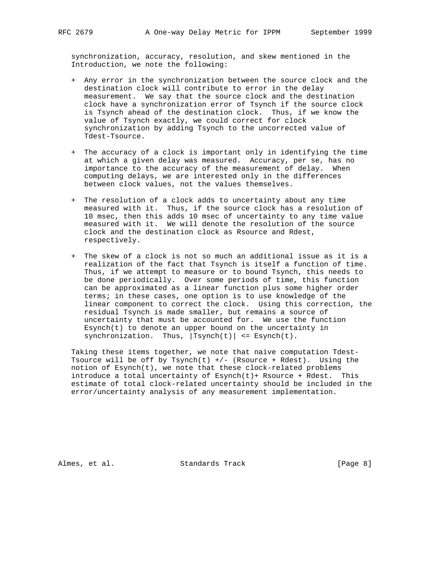synchronization, accuracy, resolution, and skew mentioned in the Introduction, we note the following:

- + Any error in the synchronization between the source clock and the destination clock will contribute to error in the delay measurement. We say that the source clock and the destination clock have a synchronization error of Tsynch if the source clock is Tsynch ahead of the destination clock. Thus, if we know the value of Tsynch exactly, we could correct for clock synchronization by adding Tsynch to the uncorrected value of Tdest-Tsource.
- + The accuracy of a clock is important only in identifying the time at which a given delay was measured. Accuracy, per se, has no importance to the accuracy of the measurement of delay. When computing delays, we are interested only in the differences between clock values, not the values themselves.
- + The resolution of a clock adds to uncertainty about any time measured with it. Thus, if the source clock has a resolution of 10 msec, then this adds 10 msec of uncertainty to any time value measured with it. We will denote the resolution of the source clock and the destination clock as Rsource and Rdest, respectively.
- + The skew of a clock is not so much an additional issue as it is a realization of the fact that Tsynch is itself a function of time. Thus, if we attempt to measure or to bound Tsynch, this needs to be done periodically. Over some periods of time, this function can be approximated as a linear function plus some higher order terms; in these cases, one option is to use knowledge of the linear component to correct the clock. Using this correction, the residual Tsynch is made smaller, but remains a source of uncertainty that must be accounted for. We use the function Esynch(t) to denote an upper bound on the uncertainty in synchronization. Thus,  $|Tsynch(t)| \leq Esynch(t)$ .

 Taking these items together, we note that naive computation Tdest- Tsource will be off by Tsynch(t)  $+/-$  (Rsource + Rdest). Using the notion of Esynch(t), we note that these clock-related problems introduce a total uncertainty of  $Esynch(t)$ + Rsource + Rdest. This estimate of total clock-related uncertainty should be included in the error/uncertainty analysis of any measurement implementation.

Almes, et al. Standards Track [Page 8]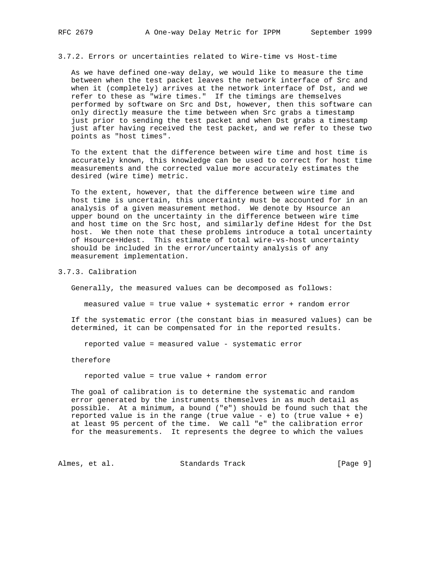3.7.2. Errors or uncertainties related to Wire-time vs Host-time

 As we have defined one-way delay, we would like to measure the time between when the test packet leaves the network interface of Src and when it (completely) arrives at the network interface of Dst, and we refer to these as "wire times." If the timings are themselves performed by software on Src and Dst, however, then this software can only directly measure the time between when Src grabs a timestamp just prior to sending the test packet and when Dst grabs a timestamp just after having received the test packet, and we refer to these two points as "host times".

 To the extent that the difference between wire time and host time is accurately known, this knowledge can be used to correct for host time measurements and the corrected value more accurately estimates the desired (wire time) metric.

 To the extent, however, that the difference between wire time and host time is uncertain, this uncertainty must be accounted for in an analysis of a given measurement method. We denote by Hsource an upper bound on the uncertainty in the difference between wire time and host time on the Src host, and similarly define Hdest for the Dst host. We then note that these problems introduce a total uncertainty of Hsource+Hdest. This estimate of total wire-vs-host uncertainty should be included in the error/uncertainty analysis of any measurement implementation.

### 3.7.3. Calibration

Generally, the measured values can be decomposed as follows:

measured value = true value + systematic error + random error

 If the systematic error (the constant bias in measured values) can be determined, it can be compensated for in the reported results.

reported value = measured value - systematic error

therefore

reported value = true value + random error

 The goal of calibration is to determine the systematic and random error generated by the instruments themselves in as much detail as possible. At a minimum, a bound ("e") should be found such that the reported value is in the range (true value - e) to (true value + e) at least 95 percent of the time. We call "e" the calibration error for the measurements. It represents the degree to which the values

Almes, et al. Standards Track [Page 9]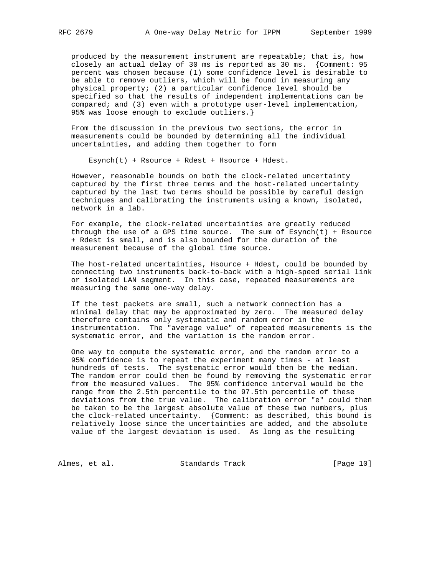produced by the measurement instrument are repeatable; that is, how closely an actual delay of 30 ms is reported as 30 ms. {Comment: 95 percent was chosen because (1) some confidence level is desirable to be able to remove outliers, which will be found in measuring any physical property; (2) a particular confidence level should be specified so that the results of independent implementations can be compared; and (3) even with a prototype user-level implementation, 95% was loose enough to exclude outliers.}

 From the discussion in the previous two sections, the error in measurements could be bounded by determining all the individual uncertainties, and adding them together to form

Esynch(t) + Rsource + Rdest + Hsource + Hdest.

 However, reasonable bounds on both the clock-related uncertainty captured by the first three terms and the host-related uncertainty captured by the last two terms should be possible by careful design techniques and calibrating the instruments using a known, isolated, network in a lab.

 For example, the clock-related uncertainties are greatly reduced through the use of a GPS time source. The sum of  $Esynch(t) + Rosource$  + Rdest is small, and is also bounded for the duration of the measurement because of the global time source.

 The host-related uncertainties, Hsource + Hdest, could be bounded by connecting two instruments back-to-back with a high-speed serial link or isolated LAN segment. In this case, repeated measurements are measuring the same one-way delay.

 If the test packets are small, such a network connection has a minimal delay that may be approximated by zero. The measured delay therefore contains only systematic and random error in the instrumentation. The "average value" of repeated measurements is the systematic error, and the variation is the random error.

 One way to compute the systematic error, and the random error to a 95% confidence is to repeat the experiment many times - at least hundreds of tests. The systematic error would then be the median. The random error could then be found by removing the systematic error from the measured values. The 95% confidence interval would be the range from the 2.5th percentile to the 97.5th percentile of these deviations from the true value. The calibration error "e" could then be taken to be the largest absolute value of these two numbers, plus the clock-related uncertainty. {Comment: as described, this bound is relatively loose since the uncertainties are added, and the absolute value of the largest deviation is used. As long as the resulting

Almes, et al. Standards Track [Page 10]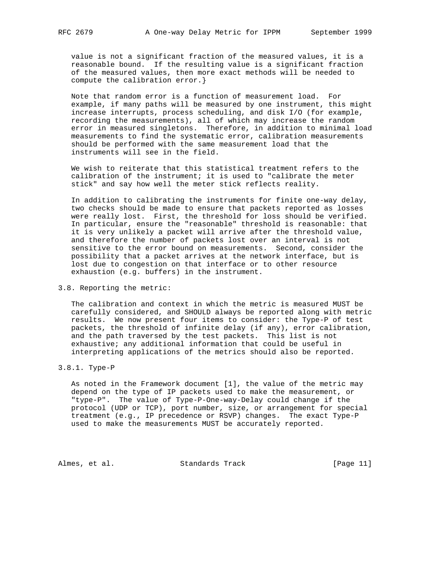value is not a significant fraction of the measured values, it is a reasonable bound. If the resulting value is a significant fraction of the measured values, then more exact methods will be needed to compute the calibration error.}

 Note that random error is a function of measurement load. For example, if many paths will be measured by one instrument, this might increase interrupts, process scheduling, and disk I/O (for example, recording the measurements), all of which may increase the random error in measured singletons. Therefore, in addition to minimal load measurements to find the systematic error, calibration measurements should be performed with the same measurement load that the instruments will see in the field.

 We wish to reiterate that this statistical treatment refers to the calibration of the instrument; it is used to "calibrate the meter stick" and say how well the meter stick reflects reality.

 In addition to calibrating the instruments for finite one-way delay, two checks should be made to ensure that packets reported as losses were really lost. First, the threshold for loss should be verified. In particular, ensure the "reasonable" threshold is reasonable: that it is very unlikely a packet will arrive after the threshold value, and therefore the number of packets lost over an interval is not sensitive to the error bound on measurements. Second, consider the possibility that a packet arrives at the network interface, but is lost due to congestion on that interface or to other resource exhaustion (e.g. buffers) in the instrument.

## 3.8. Reporting the metric:

 The calibration and context in which the metric is measured MUST be carefully considered, and SHOULD always be reported along with metric results. We now present four items to consider: the Type-P of test packets, the threshold of infinite delay (if any), error calibration, and the path traversed by the test packets. This list is not exhaustive; any additional information that could be useful in interpreting applications of the metrics should also be reported.

## 3.8.1. Type-P

 As noted in the Framework document [1], the value of the metric may depend on the type of IP packets used to make the measurement, or "type-P". The value of Type-P-One-way-Delay could change if the protocol (UDP or TCP), port number, size, or arrangement for special treatment (e.g., IP precedence or RSVP) changes. The exact Type-P used to make the measurements MUST be accurately reported.

Almes, et al. Standards Track [Page 11]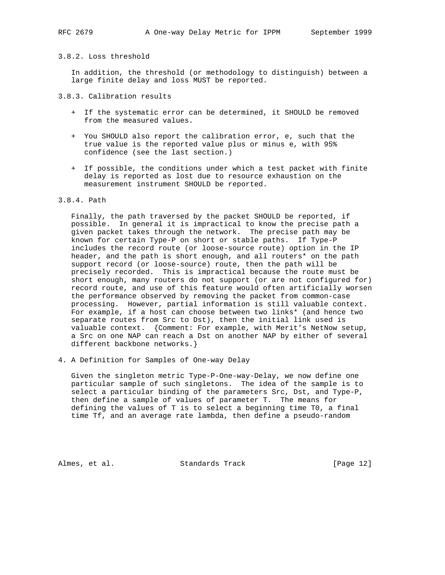## 3.8.2. Loss threshold

 In addition, the threshold (or methodology to distinguish) between a large finite delay and loss MUST be reported.

### 3.8.3. Calibration results

- + If the systematic error can be determined, it SHOULD be removed from the measured values.
- + You SHOULD also report the calibration error, e, such that the true value is the reported value plus or minus e, with 95% confidence (see the last section.)
- + If possible, the conditions under which a test packet with finite delay is reported as lost due to resource exhaustion on the measurement instrument SHOULD be reported.

### 3.8.4. Path

 Finally, the path traversed by the packet SHOULD be reported, if possible. In general it is impractical to know the precise path a given packet takes through the network. The precise path may be known for certain Type-P on short or stable paths. If Type-P includes the record route (or loose-source route) option in the IP header, and the path is short enough, and all routers\* on the path support record (or loose-source) route, then the path will be precisely recorded. This is impractical because the route must be short enough, many routers do not support (or are not configured for) record route, and use of this feature would often artificially worsen the performance observed by removing the packet from common-case processing. However, partial information is still valuable context. For example, if a host can choose between two links\* (and hence two separate routes from Src to Dst), then the initial link used is valuable context. {Comment: For example, with Merit's NetNow setup, a Src on one NAP can reach a Dst on another NAP by either of several different backbone networks.}

4. A Definition for Samples of One-way Delay

 Given the singleton metric Type-P-One-way-Delay, we now define one particular sample of such singletons. The idea of the sample is to select a particular binding of the parameters Src, Dst, and Type-P, then define a sample of values of parameter T. The means for defining the values of T is to select a beginning time T0, a final time Tf, and an average rate lambda, then define a pseudo-random

Almes, et al. Standards Track [Page 12]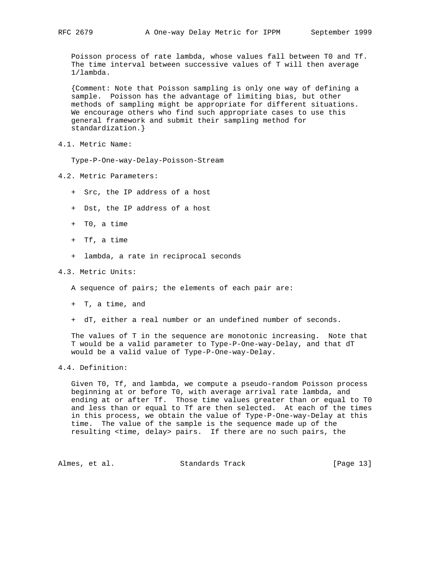Poisson process of rate lambda, whose values fall between T0 and Tf. The time interval between successive values of T will then average 1/lambda.

 {Comment: Note that Poisson sampling is only one way of defining a sample. Poisson has the advantage of limiting bias, but other methods of sampling might be appropriate for different situations. We encourage others who find such appropriate cases to use this general framework and submit their sampling method for standardization.}

4.1. Metric Name:

Type-P-One-way-Delay-Poisson-Stream

- 4.2. Metric Parameters:
	- + Src, the IP address of a host
	- + Dst, the IP address of a host
	- + T0, a time
	- + Tf, a time
	- + lambda, a rate in reciprocal seconds

## 4.3. Metric Units:

A sequence of pairs; the elements of each pair are:

- + T, a time, and
- + dT, either a real number or an undefined number of seconds.

 The values of T in the sequence are monotonic increasing. Note that T would be a valid parameter to Type-P-One-way-Delay, and that dT would be a valid value of Type-P-One-way-Delay.

## 4.4. Definition:

 Given T0, Tf, and lambda, we compute a pseudo-random Poisson process beginning at or before T0, with average arrival rate lambda, and ending at or after Tf. Those time values greater than or equal to T0 and less than or equal to Tf are then selected. At each of the times in this process, we obtain the value of Type-P-One-way-Delay at this time. The value of the sample is the sequence made up of the resulting <time, delay> pairs. If there are no such pairs, the

Almes, et al. Standards Track [Page 13]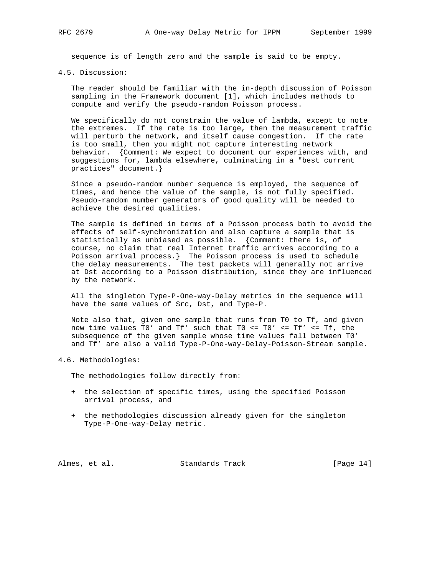sequence is of length zero and the sample is said to be empty.

4.5. Discussion:

 The reader should be familiar with the in-depth discussion of Poisson sampling in the Framework document [1], which includes methods to compute and verify the pseudo-random Poisson process.

 We specifically do not constrain the value of lambda, except to note the extremes. If the rate is too large, then the measurement traffic will perturb the network, and itself cause congestion. If the rate is too small, then you might not capture interesting network behavior. {Comment: We expect to document our experiences with, and suggestions for, lambda elsewhere, culminating in a "best current practices" document.}

 Since a pseudo-random number sequence is employed, the sequence of times, and hence the value of the sample, is not fully specified. Pseudo-random number generators of good quality will be needed to achieve the desired qualities.

 The sample is defined in terms of a Poisson process both to avoid the effects of self-synchronization and also capture a sample that is statistically as unbiased as possible. {Comment: there is, of course, no claim that real Internet traffic arrives according to a Poisson arrival process.} The Poisson process is used to schedule the delay measurements. The test packets will generally not arrive at Dst according to a Poisson distribution, since they are influenced by the network.

 All the singleton Type-P-One-way-Delay metrics in the sequence will have the same values of Src, Dst, and Type-P.

 Note also that, given one sample that runs from T0 to Tf, and given new time values T0' and Tf' such that T0 <= T0' <= Tf' <= Tf, the subsequence of the given sample whose time values fall between T0' and Tf' are also a valid Type-P-One-way-Delay-Poisson-Stream sample.

4.6. Methodologies:

The methodologies follow directly from:

- + the selection of specific times, using the specified Poisson arrival process, and
- + the methodologies discussion already given for the singleton Type-P-One-way-Delay metric.

Almes, et al. Standards Track [Page 14]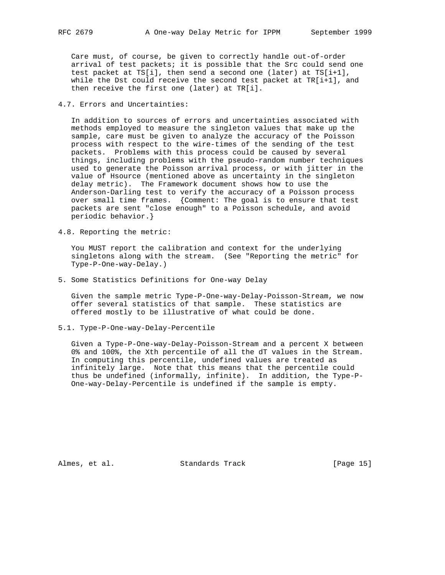Care must, of course, be given to correctly handle out-of-order arrival of test packets; it is possible that the Src could send one test packet at  $TS[i]$ , then send a second one (later) at  $TS[i+1]$ , while the Dst could receive the second test packet at TR[i+1], and then receive the first one (later) at TR[i].

## 4.7. Errors and Uncertainties:

 In addition to sources of errors and uncertainties associated with methods employed to measure the singleton values that make up the sample, care must be given to analyze the accuracy of the Poisson process with respect to the wire-times of the sending of the test packets. Problems with this process could be caused by several things, including problems with the pseudo-random number techniques used to generate the Poisson arrival process, or with jitter in the value of Hsource (mentioned above as uncertainty in the singleton delay metric). The Framework document shows how to use the Anderson-Darling test to verify the accuracy of a Poisson process over small time frames. {Comment: The goal is to ensure that test packets are sent "close enough" to a Poisson schedule, and avoid periodic behavior.}

4.8. Reporting the metric:

 You MUST report the calibration and context for the underlying singletons along with the stream. (See "Reporting the metric" for Type-P-One-way-Delay.)

5. Some Statistics Definitions for One-way Delay

 Given the sample metric Type-P-One-way-Delay-Poisson-Stream, we now offer several statistics of that sample. These statistics are offered mostly to be illustrative of what could be done.

5.1. Type-P-One-way-Delay-Percentile

 Given a Type-P-One-way-Delay-Poisson-Stream and a percent X between 0% and 100%, the Xth percentile of all the dT values in the Stream. In computing this percentile, undefined values are treated as infinitely large. Note that this means that the percentile could thus be undefined (informally, infinite). In addition, the Type-P- One-way-Delay-Percentile is undefined if the sample is empty.

Almes, et al. Standards Track [Page 15]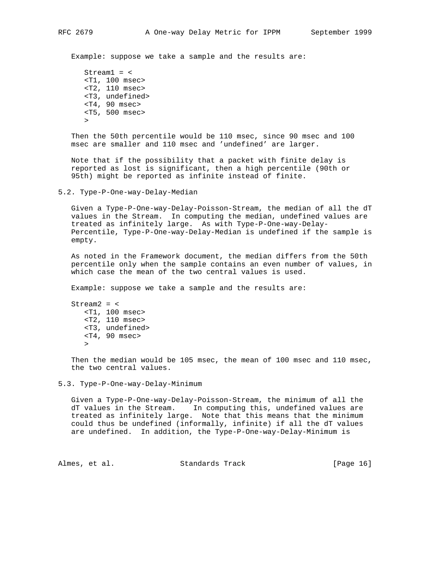Example: suppose we take a sample and the results are:

 $Stream1 =$  <T1, 100 msec> <T2, 110 msec> <T3, undefined> <T4, 90 msec> <T5, 500 msec>  $\geq$ 

 Then the 50th percentile would be 110 msec, since 90 msec and 100 msec are smaller and 110 msec and 'undefined' are larger.

 Note that if the possibility that a packet with finite delay is reported as lost is significant, then a high percentile (90th or 95th) might be reported as infinite instead of finite.

5.2. Type-P-One-way-Delay-Median

 Given a Type-P-One-way-Delay-Poisson-Stream, the median of all the dT values in the Stream. In computing the median, undefined values are treated as infinitely large. As with Type-P-One-way-Delay- Percentile, Type-P-One-way-Delay-Median is undefined if the sample is empty.

 As noted in the Framework document, the median differs from the 50th percentile only when the sample contains an even number of values, in which case the mean of the two central values is used.

Example: suppose we take a sample and the results are:

 $Stream2 =$  <T1, 100 msec> <T2, 110 msec> <T3, undefined> <T4, 90 msec>  $\rightarrow$ 

> Then the median would be 105 msec, the mean of 100 msec and 110 msec, the two central values.

5.3. Type-P-One-way-Delay-Minimum

 Given a Type-P-One-way-Delay-Poisson-Stream, the minimum of all the dT values in the Stream. In computing this, undefined values are treated as infinitely large. Note that this means that the minimum could thus be undefined (informally, infinite) if all the dT values are undefined. In addition, the Type-P-One-way-Delay-Minimum is

Almes, et al. Standards Track [Page 16]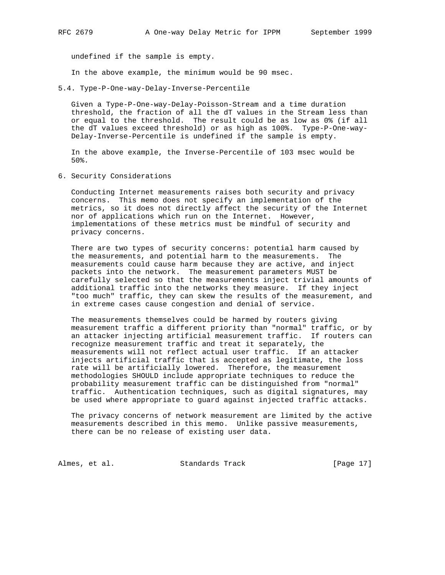undefined if the sample is empty.

In the above example, the minimum would be 90 msec.

5.4. Type-P-One-way-Delay-Inverse-Percentile

 Given a Type-P-One-way-Delay-Poisson-Stream and a time duration threshold, the fraction of all the dT values in the Stream less than or equal to the threshold. The result could be as low as 0% (if all the dT values exceed threshold) or as high as 100%. Type-P-One-way- Delay-Inverse-Percentile is undefined if the sample is empty.

 In the above example, the Inverse-Percentile of 103 msec would be 50%.

6. Security Considerations

 Conducting Internet measurements raises both security and privacy concerns. This memo does not specify an implementation of the metrics, so it does not directly affect the security of the Internet nor of applications which run on the Internet. However, implementations of these metrics must be mindful of security and privacy concerns.

 There are two types of security concerns: potential harm caused by the measurements, and potential harm to the measurements. The measurements could cause harm because they are active, and inject packets into the network. The measurement parameters MUST be carefully selected so that the measurements inject trivial amounts of additional traffic into the networks they measure. If they inject "too much" traffic, they can skew the results of the measurement, and in extreme cases cause congestion and denial of service.

 The measurements themselves could be harmed by routers giving measurement traffic a different priority than "normal" traffic, or by an attacker injecting artificial measurement traffic. If routers can recognize measurement traffic and treat it separately, the measurements will not reflect actual user traffic. If an attacker injects artificial traffic that is accepted as legitimate, the loss rate will be artificially lowered. Therefore, the measurement methodologies SHOULD include appropriate techniques to reduce the probability measurement traffic can be distinguished from "normal" traffic. Authentication techniques, such as digital signatures, may be used where appropriate to guard against injected traffic attacks.

 The privacy concerns of network measurement are limited by the active measurements described in this memo. Unlike passive measurements, there can be no release of existing user data.

Almes, et al. Standards Track [Page 17]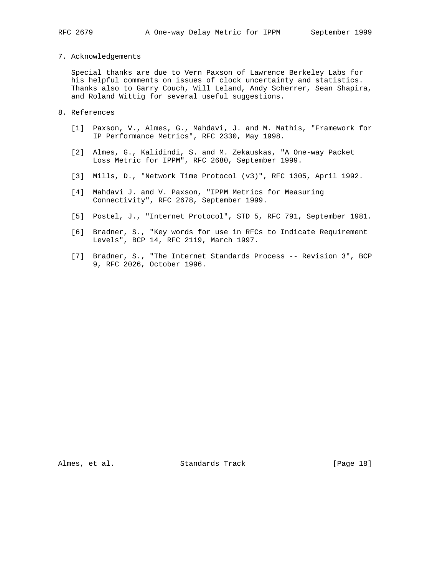### 7. Acknowledgements

 Special thanks are due to Vern Paxson of Lawrence Berkeley Labs for his helpful comments on issues of clock uncertainty and statistics. Thanks also to Garry Couch, Will Leland, Andy Scherrer, Sean Shapira, and Roland Wittig for several useful suggestions.

- 8. References
	- [1] Paxson, V., Almes, G., Mahdavi, J. and M. Mathis, "Framework for IP Performance Metrics", RFC 2330, May 1998.
	- [2] Almes, G., Kalidindi, S. and M. Zekauskas, "A One-way Packet Loss Metric for IPPM", RFC 2680, September 1999.
	- [3] Mills, D., "Network Time Protocol (v3)", RFC 1305, April 1992.
	- [4] Mahdavi J. and V. Paxson, "IPPM Metrics for Measuring Connectivity", RFC 2678, September 1999.
	- [5] Postel, J., "Internet Protocol", STD 5, RFC 791, September 1981.
	- [6] Bradner, S., "Key words for use in RFCs to Indicate Requirement Levels", BCP 14, RFC 2119, March 1997.
	- [7] Bradner, S., "The Internet Standards Process -- Revision 3", BCP 9, RFC 2026, October 1996.

Almes, et al. Standards Track [Page 18]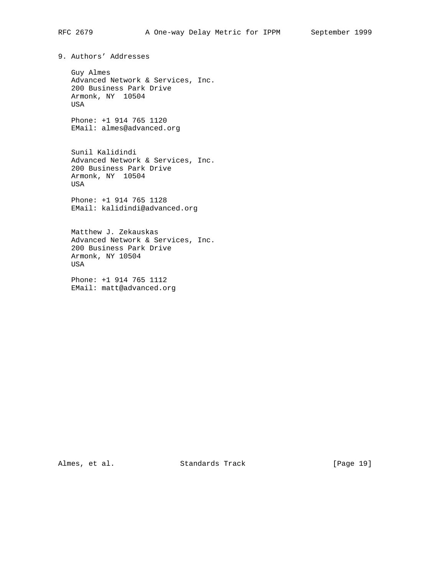9. Authors' Addresses

 Guy Almes Advanced Network & Services, Inc. 200 Business Park Drive Armonk, NY 10504 USA

 Phone: +1 914 765 1120 EMail: almes@advanced.org

 Sunil Kalidindi Advanced Network & Services, Inc. 200 Business Park Drive Armonk, NY 10504 USA

 Phone: +1 914 765 1128 EMail: kalidindi@advanced.org

 Matthew J. Zekauskas Advanced Network & Services, Inc. 200 Business Park Drive Armonk, NY 10504 USA

 Phone: +1 914 765 1112 EMail: matt@advanced.org

Almes, et al. Standards Track [Page 19]